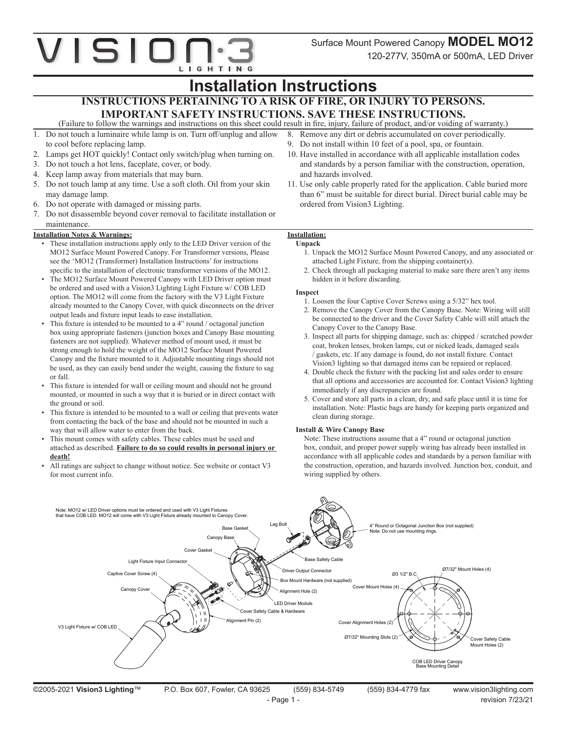## VISIO LIGHTING

## **Installation Instructions**

### **INSTRUCTIONS PERTAINING TO A RISK OF FIRE, OR INJURY TO PERSONS. IMPORTANT SAFETY INSTRUCTIONS. SAVE THESE INSTRUCTIONS.**

(Failure to follow the warnings and instructions on this sheet could result in fire, injury, failure of product, and/or voiding of warranty.)

- 1. Do not touch a luminaire while lamp is on. Turn off/unplug and allow to cool before replacing lamp.
- 2. Lamps get HOT quickly! Contact only switch/plug when turning on.
- 3. Do not touch a hot lens, faceplate, cover, or body.
- 4. Keep lamp away from materials that may burn.
- 5. Do not touch lamp at any time. Use a soft cloth. Oil from your skin may damage lamp.
- 6. Do not operate with damaged or missing parts.
- 7. Do not disassemble beyond cover removal to facilitate installation or maintenance.

#### **Installation Notes & Warnings:**

- These installation instructions apply only to the LED Driver version of the MO12 Surface Mount Powered Canopy. For Transformer versions, Please see the 'MO12 (Transformer) Installation Instructions' for instructions specific to the installation of electronic transformer versions of the MO12.
- The MO12 Surface Mount Powered Canopy with LED Driver option must be ordered and used with a Vision3 Lighting Light Fixture w/ COB LED option. The MO12 will come from the factory with the V3 Light Fixture already mounted to the Canopy Cover, with quick disconnects on the driver output leads and fixture input leads to ease installation.
- This fixture is intended to be mounted to a 4" round / octagonal junction box using appropriate fasteners (junction boxes and Canopy Base mounting fasteners are not supplied). Whatever method of mount used, it must be strong enough to hold the weight of the MO12 Surface Mount Powered Canopy and the fixture mounted to it. Adjustable mounting rings should not be used, as they can easily bend under the weight, causing the fixture to sag or fall.
- This fixture is intended for wall or ceiling mount and should not be ground mounted, or mounted in such a way that it is buried or in direct contact with the ground or soil.
- This fixture is intended to be mounted to a wall or ceiling that prevents water from contacting the back of the base and should not be mounted in such a way that will allow water to enter from the back.
- This mount comes with safety cables. These cables must be used and attached as described. **Failure to do so could results in personal injury or death!**
- All ratings are subject to change without notice. See website or contact V3 for most current info.

### 9. Do not install within 10 feet of a pool, spa, or fountain. 10. Have installed in accordance with all applicable installation codes

8. Remove any dirt or debris accumulated on cover periodically.

- and standards by a person familiar with the construction, operation, and hazards involved.
- 11. Use only cable properly rated for the application. Cable buried more than 6" must be suitable for direct burial. Direct burial cable may be ordered from Vision3 Lighting.

### **Installation:**

#### **Unpack**

- 1. Unpack the MO12 Surface Mount Powered Canopy, and any associated or attached Light Fixture, from the shipping container(s).
- 2. Check through all packaging material to make sure there aren't any items hidden in it before discarding.

#### **Inspect**

- 1. Loosen the four Captive Cover Screws using a 5/32" hex tool.
- 2. Remove the Canopy Cover from the Canopy Base. Note: Wiring will still be connected to the driver and the Cover Safety Cable will still attach the Canopy Cover to the Canopy Base.
- 3. Inspect all parts for shipping damage, such as: chipped / scratched powder coat, broken lenses, broken lamps, cut or nicked leads, damaged seals / gaskets, etc. If any damage is found, do not install fixture. Contact Vision3 lighting so that damaged items can be repaired or replaced.
- 4. Double check the fixture with the packing list and sales order to ensure that all options and accessories are accounted for. Contact Vision3 lighting immediately if any discrepancies are found.
- 5. Cover and store all parts in a clean, dry, and safe place until it is time for installation. Note: Plastic bags are handy for keeping parts organized and clean during storage.

#### **Install & Wire Canopy Base**

Note: These instructions assume that a 4" round or octagonal junction box, conduit, and proper power supply wiring has already been installed in accordance with all applicable codes and standards by a person familiar with the construction, operation, and hazards involved. Junction box, conduit, and wiring supplied by others.